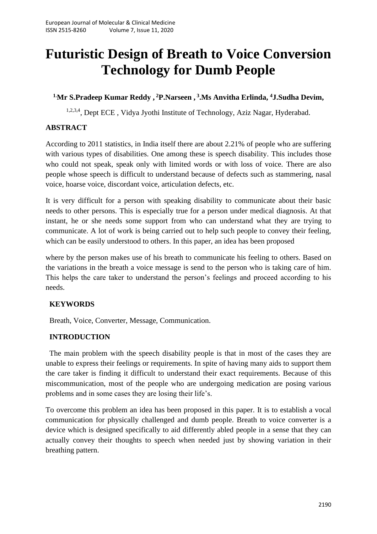# **Futuristic Design of Breath to Voice Conversion Technology for Dumb People**

# **1.Mr S.Pradeep Kumar Reddy , <sup>2</sup>P.Narseen , 3 .Ms Anvitha Erlinda, <sup>4</sup>J.Sudha Devim,**

<sup>1,2,3,4</sup>, Dept ECE, Vidya Jyothi Institute of Technology, Aziz Nagar, Hyderabad.

# **ABSTRACT**

According to 2011 statistics, in India itself there are about 2.21% of people who are suffering with various types of disabilities. One among these is speech disability. This includes those who could not speak, speak only with limited words or with loss of voice. There are also people whose speech is difficult to understand because of defects such as stammering, nasal voice, hoarse voice, discordant voice, articulation defects, etc.

It is very difficult for a person with speaking disability to communicate about their basic needs to other persons. This is especially true for a person under medical diagnosis. At that instant, he or she needs some support from who can understand what they are trying to communicate. A lot of work is being carried out to help such people to convey their feeling, which can be easily understood to others. In this paper, an idea has been proposed

where by the person makes use of his breath to communicate his feeling to others. Based on the variations in the breath a voice message is send to the person who is taking care of him. This helps the care taker to understand the person's feelings and proceed according to his needs.

# **KEYWORDS**

Breath, Voice, Converter, Message, Communication.

## **INTRODUCTION**

The main problem with the speech disability people is that in most of the cases they are unable to express their feelings or requirements. In spite of having many aids to support them the care taker is finding it difficult to understand their exact requirements. Because of this miscommunication, most of the people who are undergoing medication are posing various problems and in some cases they are losing their life's.

To overcome this problem an idea has been proposed in this paper. It is to establish a vocal communication for physically challenged and dumb people. Breath to voice converter is a device which is designed specifically to aid differently abled people in a sense that they can actually convey their thoughts to speech when needed just by showing variation in their breathing pattern.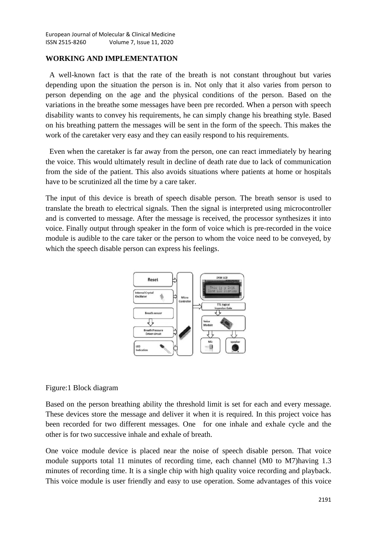#### **WORKING AND IMPLEMENTATION**

A well-known fact is that the rate of the breath is not constant throughout but varies depending upon the situation the person is in. Not only that it also varies from person to person depending on the age and the physical conditions of the person. Based on the variations in the breathe some messages have been pre recorded. When a person with speech disability wants to convey his requirements, he can simply change his breathing style. Based on his breathing pattern the messages will be sent in the form of the speech. This makes the work of the caretaker very easy and they can easily respond to his requirements.

Even when the caretaker is far away from the person, one can react immediately by hearing the voice. This would ultimately result in decline of death rate due to lack of communication from the side of the patient. This also avoids situations where patients at home or hospitals have to be scrutinized all the time by a care taker.

The input of this device is breath of speech disable person. The breath sensor is used to translate the breath to electrical signals. Then the signal is interpreted using microcontroller and is converted to message. After the message is received, the processor synthesizes it into voice. Finally output through speaker in the form of voice which is pre-recorded in the voice module is audible to the care taker or the person to whom the voice need to be conveyed, by which the speech disable person can express his feelings.



## Figure:1 Block diagram

Based on the person breathing ability the threshold limit is set for each and every message. These devices store the message and deliver it when it is required. In this project voice has been recorded for two different messages. One for one inhale and exhale cycle and the other is for two successive inhale and exhale of breath.

One voice module device is placed near the noise of speech disable person. That voice module supports total 11 minutes of recording time, each channel (M0 to M7)having 1.3 minutes of recording time. It is a single chip with high quality voice recording and playback. This voice module is user friendly and easy to use operation. Some advantages of this voice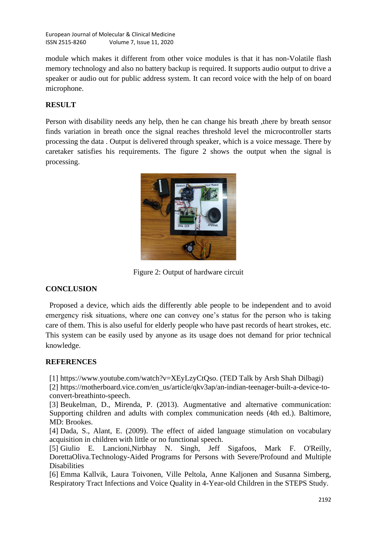European Journal of Molecular & Clinical Medicine ISSN 2515-8260 Volume 7, Issue 11, 2020

module which makes it different from other voice modules is that it has non-Volatile flash memory technology and also no battery backup is required. It supports audio output to drive a speaker or audio out for public address system. It can record voice with the help of on board microphone.

# **RESULT**

Person with disability needs any help, then he can change his breath ,there by breath sensor finds variation in breath once the signal reaches threshold level the microcontroller starts processing the data . Output is delivered through speaker, which is a voice message. There by caretaker satisfies his requirements. The figure 2 shows the output when the signal is processing.



Figure 2: Output of hardware circuit

## **CONCLUSION**

Proposed a device, which aids the differently able people to be independent and to avoid emergency risk situations, where one can convey one's status for the person who is taking care of them. This is also useful for elderly people who have past records of heart strokes, etc. This system can be easily used by anyone as its usage does not demand for prior technical knowledge.

## **REFERENCES**

[1] https://www.youtube.com/watch?v=XEyLzyCtQso. (TED Talk by Arsh Shah Dilbagi)

[2] https://motherboard.vice.com/en\_us/article/qkv3ap/an-indian-teenager-built-a-device-toconvert-breathinto-speech.

[3] Beukelman, D., Mirenda, P. (2013). Augmentative and alternative communication: Supporting children and adults with complex communication needs (4th ed.). Baltimore, MD: Brookes.

[4] Dada, S., Alant, E. (2009). The effect of aided language stimulation on vocabulary acquisition in children with little or no functional speech.

[5] Giulio E. Lancioni,Nirbhay N. Singh, Jeff Sigafoos, Mark F. O'Reilly, DorettaOliva.Technology-Aided Programs for Persons with Severe/Profound and Multiple Disabilities

[6] Emma Kallvik, Laura Toivonen, Ville Peltola, Anne Kaljonen and Susanna Simberg, Respiratory Tract Infections and Voice Quality in 4-Year-old Children in the STEPS Study.